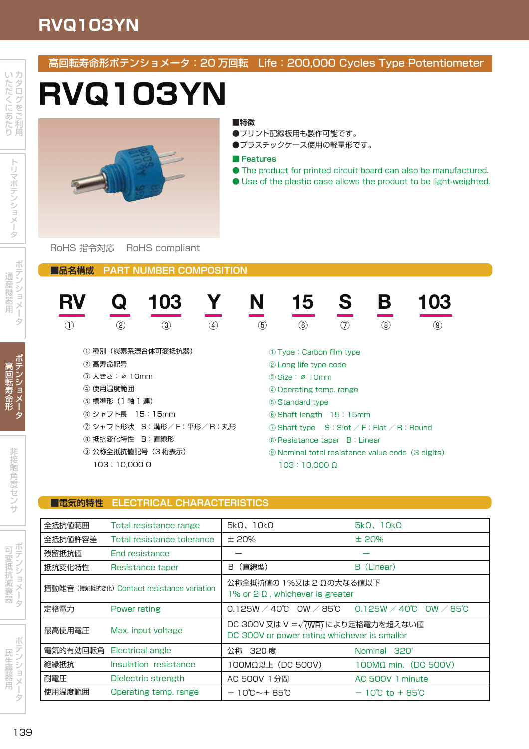## **RVQ103YN**

マンティング しょうしょう **Contract Contract Contract Contract Contract** 

テ ン ー ョ

高 --寿 命

and the second second second and the second second second second second second second second second second second second second second second second second second second second second second second second second second sec

非 **State State State State** 角

サ

. . . .

\_\_\_\_\_ 抵 抗 衰 and the second second second and second the second second second second second second second second second second second second second second second second second second second second second second second second second sec

ー **Contract Contract Contract Contract Contract Contract Contract Contract Contract Contract Contract Contract Contract Contract Contract Contract Contract Contract Contract Contract Contract Contract Contract Contract Contr** 

アンティー アンディア アイディング

- - - -機 用

> ー **Contract Contract Contract Contract Contract Contract Contract Contract Contract Contract Contract Contract Contract Contract Contract Contract Contract Contract Contract Contract Contract Contract Contract Contract Contr**

### 高回転寿命形ポテンショメータ:20 万回転 Life:200,000 Cycles Type Potentiometer

# **RVQ103YN**



#### **■特徴**

- ●プリント配線板用も製作可能です。
- ●プラスチックケース使用の軽量形です。

#### **■ Features**

- The product for printed circuit board can also be manufactured.
- Use of the plastic case allows the product to be light-weighted.

#### RoHS 指令対応 RoHS compliant

**■品名構成 PART NUMBER COMPOSITION**

| $\circled{2}$           | $\circledast$                                                          |
|-------------------------|------------------------------------------------------------------------|
| ③                       | 7)                                                                     |
| (5)                     | $\circled{0}$                                                          |
| 4                       | $\circledR$                                                            |
| ① 種別(炭素系混合体可変抵抗器)       | 1) Type: Carbon film type                                              |
| ② 高寿命記号                 | 2 Long life type code                                                  |
| ③ 大きさ: ø 10mm           | 3 Size: ø 10mm                                                         |
| ④ 使用温度範囲                | 4 Operating temp. range                                                |
| ⑤ 標準形(1軸 1連)            | (5) Standard type                                                      |
| 6 シャフト長 15:15mm         | $6$ Shaft length $15:15$ mm                                            |
| ⑦ シャフト形状 S:溝形/F:平形/R:丸形 | $\circledcirc$ Shaft type $S:$ Slot $\angle$ F: Flat $\angle$ R: Round |
| ⑧ 抵抗変化特性 B:直線形          | <b>8 Resistance taper B: Linear</b>                                    |
| ⑨ 公称全抵抗値記号(3桁表示)        | 9 Nominal total resistance value code (3 digits)                       |

#### **■電気的特性 ELECTRICAL CHARACTERISTICS**

| 全抵抗値範囲                                     | Total resistance range     | $5k\Omega$ , $10k\Omega$                                                                          | $5k\Omega$ , $10k\Omega$           |
|--------------------------------------------|----------------------------|---------------------------------------------------------------------------------------------------|------------------------------------|
| 全抵抗値許容差                                    | Total resistance tolerance | ±20%                                                                                              | ±20%                               |
| 残留抵抗值                                      | <b>End resistance</b>      |                                                                                                   |                                    |
| 抵抗変化特性                                     | Resistance taper           | (直線型)<br>B.                                                                                       | B (Linear)                         |
| 摺動雑音 (接触抵抗変化) Contact resistance variation |                            | 公称全抵抗値の 1%又は 2 Ωの大なる値以下<br>1% or $2 \Omega$ , whichever is greater                                |                                    |
| 定格電力                                       | Power rating               | $0.125W / 40^{\circ}$ OW $/ 85^{\circ}$ 0.125W $/ 40^{\circ}$ OW $/ 85^{\circ}$                   |                                    |
| 最高使用電圧                                     | Max. input voltage         | DC 300V 又は V = $\sqrt{\text{(WR)}}$ により定格電力を超えない値<br>DC 300V or power rating whichever is smaller |                                    |
| 電気的有効回転角                                   | Electrical angle           | 公称 320 度                                                                                          | Nominal 320°                       |
| 絶縁抵抗                                       | Insulation resistance      | 100MΩ以上 (DC 500V)                                                                                 | $100M\Omega$ min. (DC 500V)        |
| 耐電圧                                        | Dielectric strength        | AC 500V 1分間                                                                                       | AC 500V 1 minute                   |
| 使用温度範囲                                     | Operating temp. range      | $-10^{\circ}$ C $-+85^{\circ}$ C                                                                  | $-10^{\circ}$ C to $+85^{\circ}$ C |